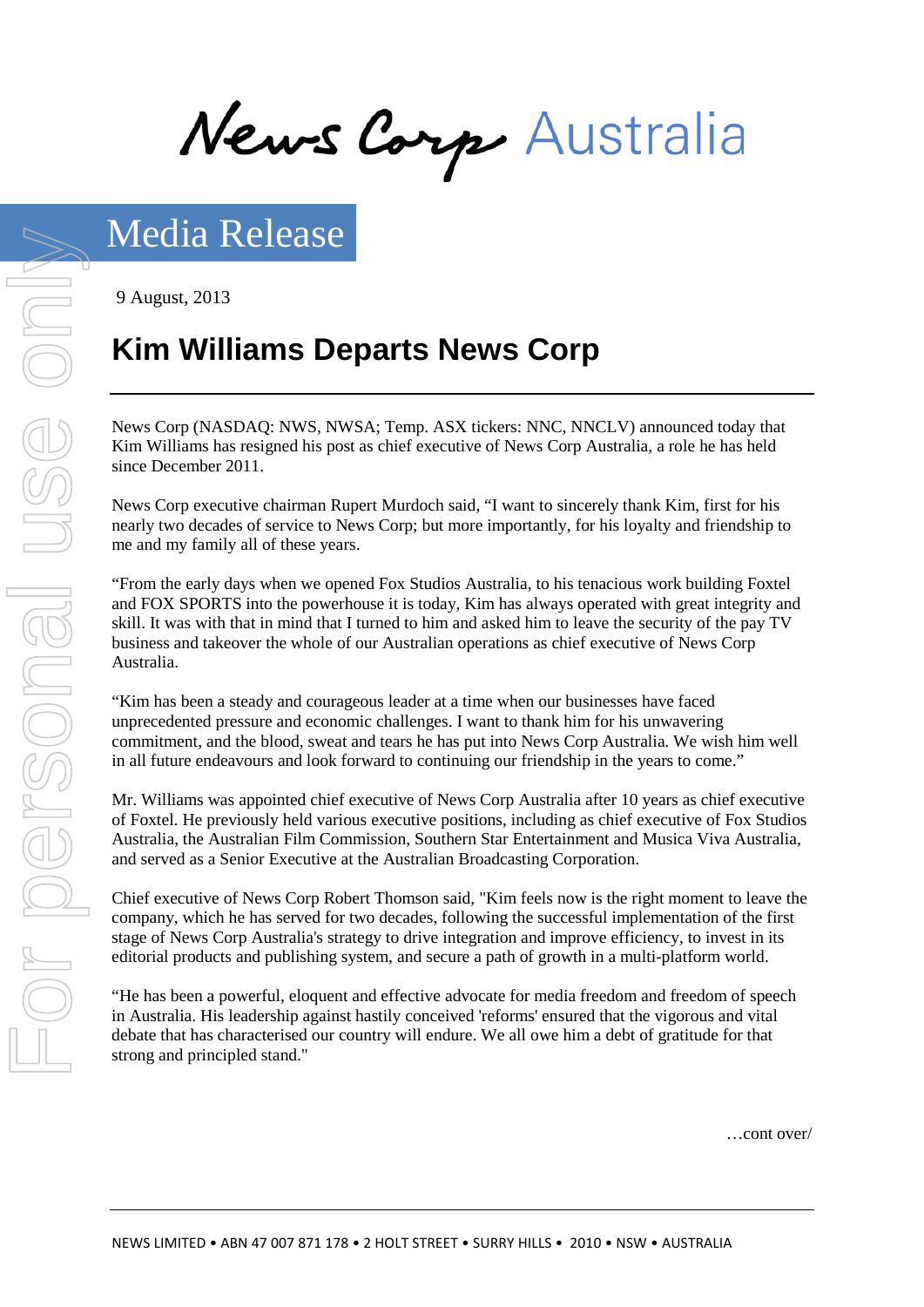News Corp Australia

9 August, 2013

# **Kim Williams Departs News Corp**

News Corp (NASDAQ: NWS, NWSA; Temp. ASX tickers: NNC, NNCLV) announced today that Kim Williams has resigned his post as chief executive of News Corp Australia, a role he has held since December 2011.

News Corp executive chairman Rupert Murdoch said, "I want to sincerely thank Kim, first for his nearly two decades of service to News Corp; but more importantly, for his loyalty and friendship to me and my family all of these years.

"From the early days when we opened Fox Studios Australia, to his tenacious work building Foxtel and FOX SPORTS into the powerhouse it is today, Kim has always operated with great integrity and skill. It was with that in mind that I turned to him and asked him to leave the security of the pay TV business and takeover the whole of our Australian operations as chief executive of News Corp Australia.

"Kim has been a steady and courageous leader at a time when our businesses have faced unprecedented pressure and economic challenges. I want to thank him for his unwavering commitment, and the blood, sweat and tears he has put into News Corp Australia. We wish him well in all future endeavours and look forward to continuing our friendship in the years to come."

Mr. Williams was appointed chief executive of News Corp Australia after 10 years as chief executive of Foxtel. He previously held various executive positions, including as chief executive of Fox Studios Australia, the Australian Film Commission, Southern Star Entertainment and Musica Viva Australia, and served as a Senior Executive at the Australian Broadcasting Corporation.

Chief executive of News Corp Robert Thomson said, "Kim feels now is the right moment to leave the company, which he has served for two decades, following the successful implementation of the first stage of News Corp Australia's strategy to drive integration and improve efficiency, to invest in its editorial products and publishing system, and secure a path of growth in a multi-platform world.

"He has been a powerful, eloquent and effective advocate for media freedom and freedom of speech in Australia. His leadership against hastily conceived 'reforms' ensured that the vigorous and vital debate that has characterised our country will endure. We all owe him a debt of gratitude for that strong and principled stand."

…cont over/